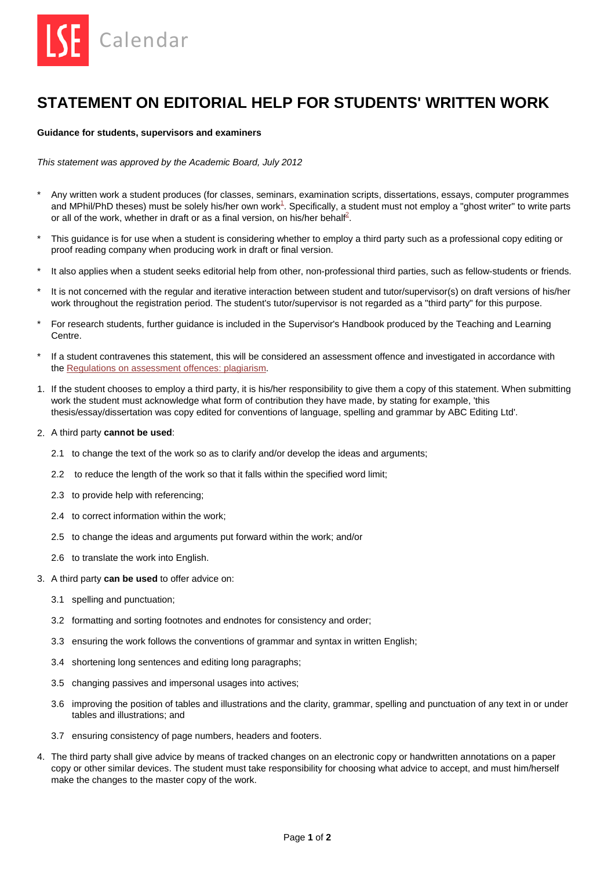

## **STATEMENT ON EDITORIAL HELP FOR STUDENTS' WRITTEN WORK**

## **Guidance for students, supervisors and examiners**

*This statement was approved by the Academic Board, July 2012* 

- \* Any written work a student produces (for classes, seminars, examination scripts, dissertations, essays, computer programmes and MPhil/PhD theses) must be solely his/her own wor[k](#page-1-0)<sup>1</sup>. Specifically, a student must not employ a "ghost writer" to write parts or all of the work, whether in draft or as a final version, on his/her behalf<sup>2</sup>.
- This guidance is for use when a student is considering whether to employ a third party such as a professional copy editing or proof reading company when producing work in draft or final version.
- It also applies when a student seeks editorial help from other, non-professional third parties, such as fellow-students or friends.
- It is not concerned with the regular and iterative interaction between student and tutor/supervisor(s) on draft versions of his/her work throughout the registration period. The student's tutor/supervisor is not regarded as a "third party" for this purpose.
- For research students, further guidance is included in the Supervisor's Handbook produced by the Teaching and Learning Centre.
- \* If a student contravenes this statement, this will be considered an assessment offence and investigated in accordance with th[e Regulations on assessment offences: plagiarism.](http://www.lse.ac.uk/intranet/LSEServices/TQARO/Calendar/RegulationsAssessmentOffences_Plagiarism.pdf)
- 1. If the student chooses to employ a third party, it is his/her responsibility to give them a copy of this statement. When submitting work the student must acknowledge what form of contribution they have made, by stating for example, 'this thesis/essay/dissertation was copy edited for conventions of language, spelling and grammar by ABC Editing Ltd'.

## 2. A third party **cannot be used**:

- 2.1 to change the text of the work so as to clarify and/or develop the ideas and arguments;
- 2.2 to reduce the length of the work so that it falls within the specified word limit;
- 2.3 to provide help with referencing;
- 2.4 to correct information within the work;
- 2.5 to change the ideas and arguments put forward within the work; and/or
- 2.6 to translate the work into English.
- 3. A third party **can be used** to offer advice on:
	- 3.1 spelling and punctuation;
	- 3.2 formatting and sorting footnotes and endnotes for consistency and order;
	- 3.3 ensuring the work follows the conventions of grammar and syntax in written English;
	- 3.4 shortening long sentences and editing long paragraphs;
	- 3.5 changing passives and impersonal usages into actives;
	- 3.6 improving the position of tables and illustrations and the clarity, grammar, spelling and punctuation of any text in or under tables and illustrations; and
	- 3.7 ensuring consistency of page numbers, headers and footers.
- 4. The third party shall give advice by means of tracked changes on an electronic copy or handwritten annotations on a paper copy or other similar devices. The student must take responsibility for choosing what advice to accept, and must him/herself make the changes to the master copy of the work.